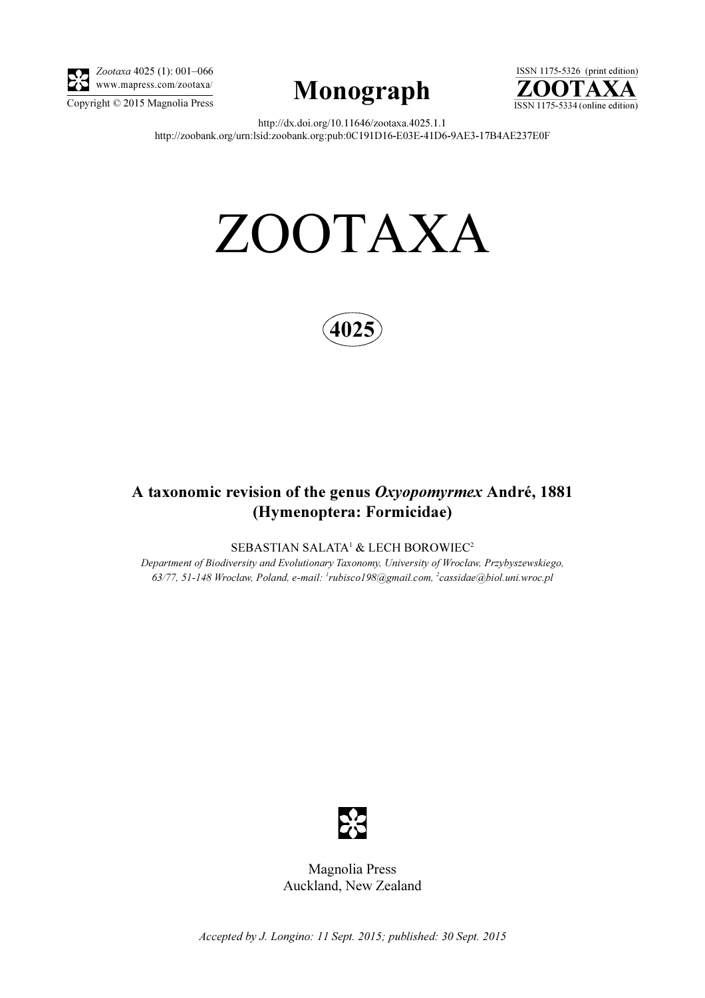

Zootaxa 4025 (1): 001–066 www.mapress.com/zootaxa/





http://dx.doi.org/10.11646/zootaxa.4025.1.1 http://zoobank.org/urn:lsid:zoobank.org:pub:0C191D16-E03E-41D6-9AE3-17B4AE237E0F

# ZOOTAXA



# A taxonomic revision of the genus Oxyopomyrmex André, 1881 (Hymenoptera: Formicidae)

SEBASTIAN SALATA<sup>1</sup> & LECH BOROWIEC<sup>2</sup>

Department of Biodiversity and Evolutionary Taxonomy, University of Wrocław, Przybyszewskiego, 63/77, 51-148 Wrocław, Poland, e-mail: <sup>1</sup>rubisco198@gmail.com, <sup>2</sup>cassidae@biol.uni.wroc.pl



Magnolia Press Auckland, New Zealand

Accepted by J. Longino: 11 Sept. 2015; published: 30 Sept. 2015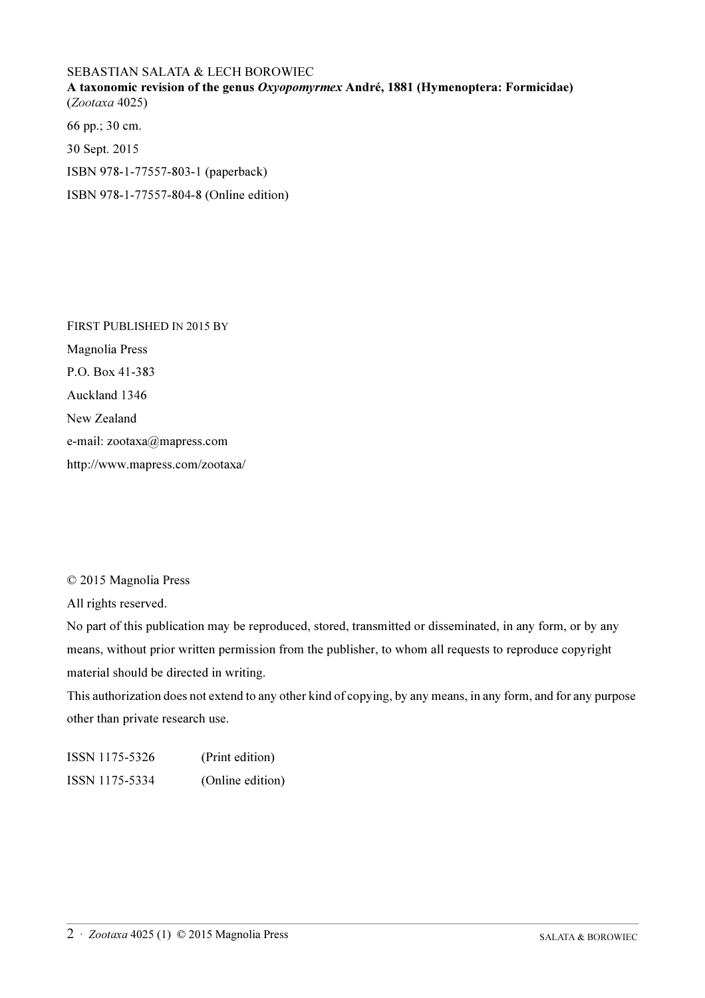## SEBASTIAN SALATA & LECH BOROWIEC

A taxonomic revision of the genus Oxyopomyrmex André, 1881 (Hymenoptera: Formicidae) (Zootaxa 4025)

66 pp.; 30 cm.

30 Sept. 2015

ISBN 978-1-77557-803-1 (paperback)

ISBN 978-1-77557-804-8 (Online edition)

FIRST PUBLISHED IN 2015 BY Magnolia Press P.O. Box 41-383 Auckland 1346 New Zealand e-mail: zootaxa@mapress.com http://www.mapress.com/zootaxa/

© 2015 Magnolia Press

All rights reserved.

No part of this publication may be reproduced, stored, transmitted or disseminated, in any form, or by any means, without prior written permission from the publisher, to whom all requests to reproduce copyright material should be directed in writing.

This authorization does not extend to any other kind of copying, by any means, in any form, and for any purpose other than private research use.

ISSN 1175-5326 (Print edition) ISSN 1175-5334 (Online edition)